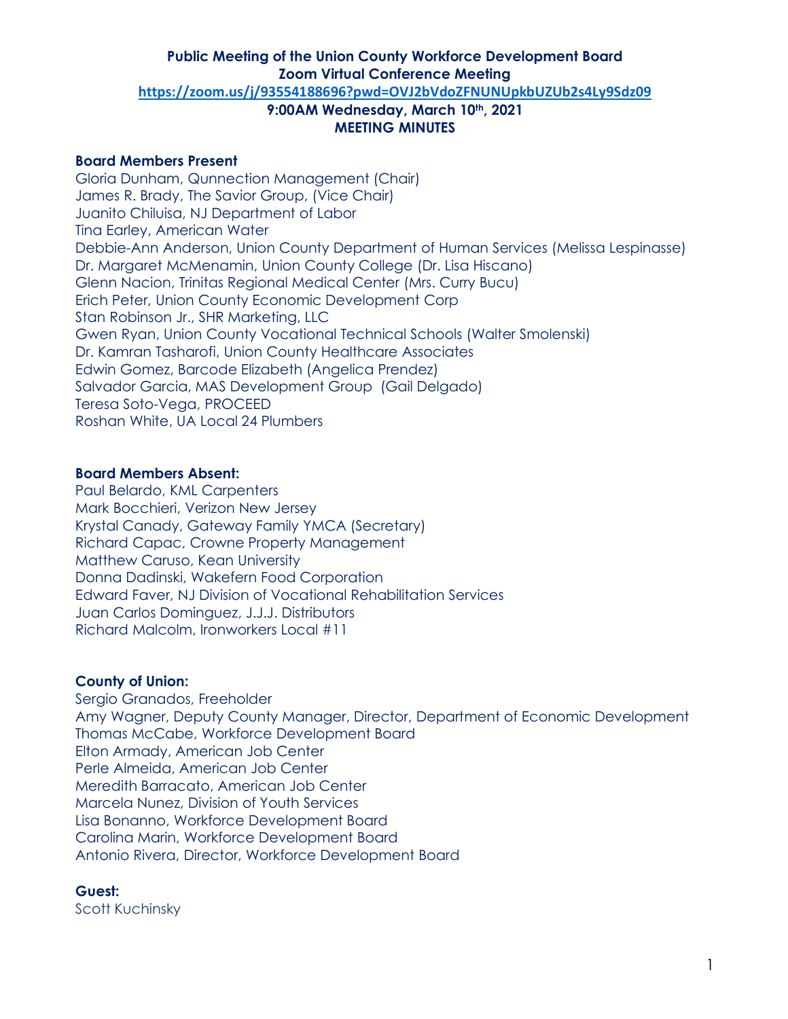#### **Board Members Present**

Gloria Dunham, Qunnection Management (Chair) James R. Brady, The Savior Group, (Vice Chair) Juanito Chiluisa, NJ Department of Labor Tina Earley, American Water Debbie-Ann Anderson, Union County Department of Human Services (Melissa Lespinasse) Dr. Margaret McMenamin, Union County College (Dr. Lisa Hiscano) Glenn Nacion, Trinitas Regional Medical Center (Mrs. Curry Bucu) Erich Peter, Union County Economic Development Corp Stan Robinson Jr., SHR Marketing, LLC Gwen Ryan, Union County Vocational Technical Schools (Walter Smolenski) Dr. Kamran Tasharofi, Union County Healthcare Associates Edwin Gomez, Barcode Elizabeth (Angelica Prendez) Salvador Garcia, MAS Development Group (Gail Delgado) Teresa Soto-Vega, PROCEED Roshan White, UA Local 24 Plumbers

#### **Board Members Absent:**

Paul Belardo, KML Carpenters Mark Bocchieri, Verizon New Jersey Krystal Canady, Gateway Family YMCA (Secretary) Richard Capac, Crowne Property Management Matthew Caruso, Kean University Donna Dadinski, Wakefern Food Corporation Edward Faver, NJ Division of Vocational Rehabilitation Services Juan Carlos Dominguez, J.J.J. Distributors Richard Malcolm, Ironworkers Local #11

#### **County of Union:**

Sergio Granados, Freeholder Amy Wagner, Deputy County Manager, Director, Department of Economic Development Thomas McCabe, Workforce Development Board Elton Armady, American Job Center Perle Almeida, American Job Center Meredith Barracato, American Job Center Marcela Nunez, Division of Youth Services Lisa Bonanno, Workforce Development Board Carolina Marin, Workforce Development Board Antonio Rivera, Director, Workforce Development Board

#### **Guest:**

Scott Kuchinsky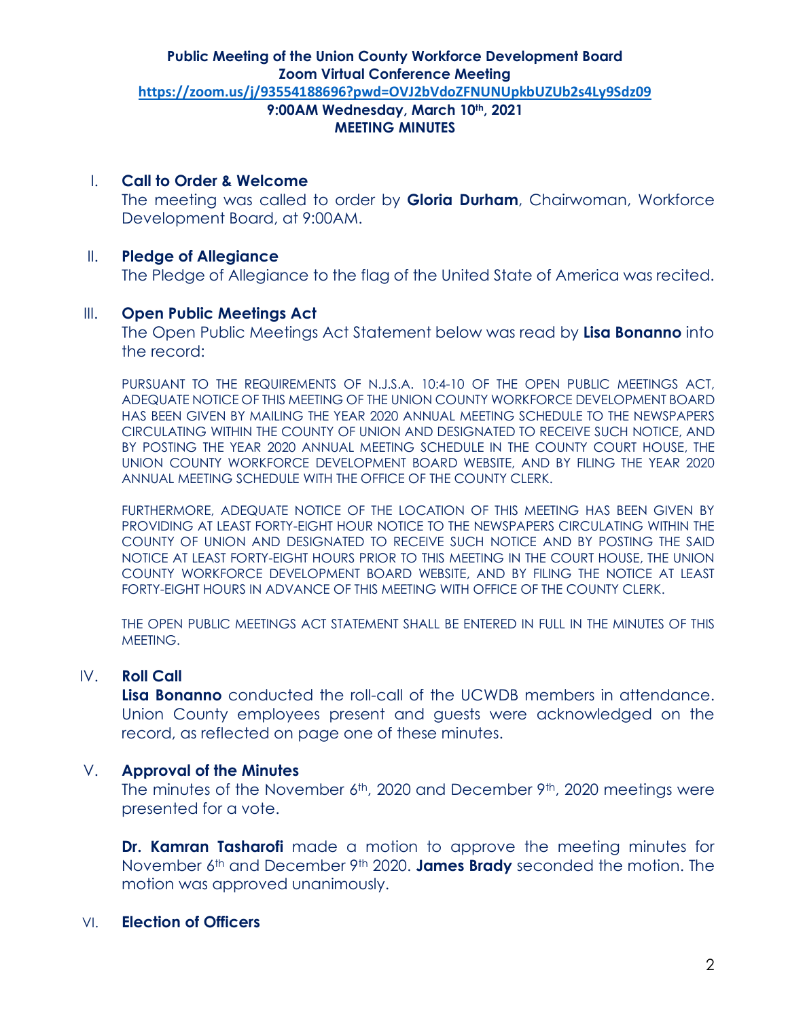## I. **Call to Order & Welcome**

The meeting was called to order by **Gloria Durham**, Chairwoman, Workforce Development Board, at 9:00AM.

## II. **Pledge of Allegiance**

The Pledge of Allegiance to the flag of the United State of America was recited.

## III. **Open Public Meetings Act**

The Open Public Meetings Act Statement below was read by **Lisa Bonanno** into the record:

PURSUANT TO THE REQUIREMENTS OF N.J.S.A. 10:4-10 OF THE OPEN PUBLIC MEETINGS ACT, ADEQUATE NOTICE OF THIS MEETING OF THE UNION COUNTY WORKFORCE DEVELOPMENT BOARD HAS BEEN GIVEN BY MAILING THE YEAR 2020 ANNUAL MEETING SCHEDULE TO THE NEWSPAPERS CIRCULATING WITHIN THE COUNTY OF UNION AND DESIGNATED TO RECEIVE SUCH NOTICE, AND BY POSTING THE YEAR 2020 ANNUAL MEETING SCHEDULE IN THE COUNTY COURT HOUSE, THE UNION COUNTY WORKFORCE DEVELOPMENT BOARD WEBSITE, AND BY FILING THE YEAR 2020 ANNUAL MEETING SCHEDULE WITH THE OFFICE OF THE COUNTY CLERK.

FURTHERMORE, ADEQUATE NOTICE OF THE LOCATION OF THIS MEETING HAS BEEN GIVEN BY PROVIDING AT LEAST FORTY-EIGHT HOUR NOTICE TO THE NEWSPAPERS CIRCULATING WITHIN THE COUNTY OF UNION AND DESIGNATED TO RECEIVE SUCH NOTICE AND BY POSTING THE SAID NOTICE AT LEAST FORTY-EIGHT HOURS PRIOR TO THIS MEETING IN THE COURT HOUSE, THE UNION COUNTY WORKFORCE DEVELOPMENT BOARD WEBSITE, AND BY FILING THE NOTICE AT LEAST FORTY-EIGHT HOURS IN ADVANCE OF THIS MEETING WITH OFFICE OF THE COUNTY CLERK.

THE OPEN PUBLIC MEETINGS ACT STATEMENT SHALL BE ENTERED IN FULL IN THE MINUTES OF THIS MEETING.

## IV. **Roll Call**

**Lisa Bonanno** conducted the roll-call of the UCWDB members in attendance. Union County employees present and guests were acknowledged on the record, as reflected on page one of these minutes.

## V. **Approval of the Minutes**

The minutes of the November 6<sup>th</sup>, 2020 and December 9<sup>th</sup>, 2020 meetings were presented for a vote.

**Dr. Kamran Tasharofi** made a motion to approve the meeting minutes for November 6th and December 9th 2020. **James Brady** seconded the motion. The motion was approved unanimously.

## VI. **Election of Officers**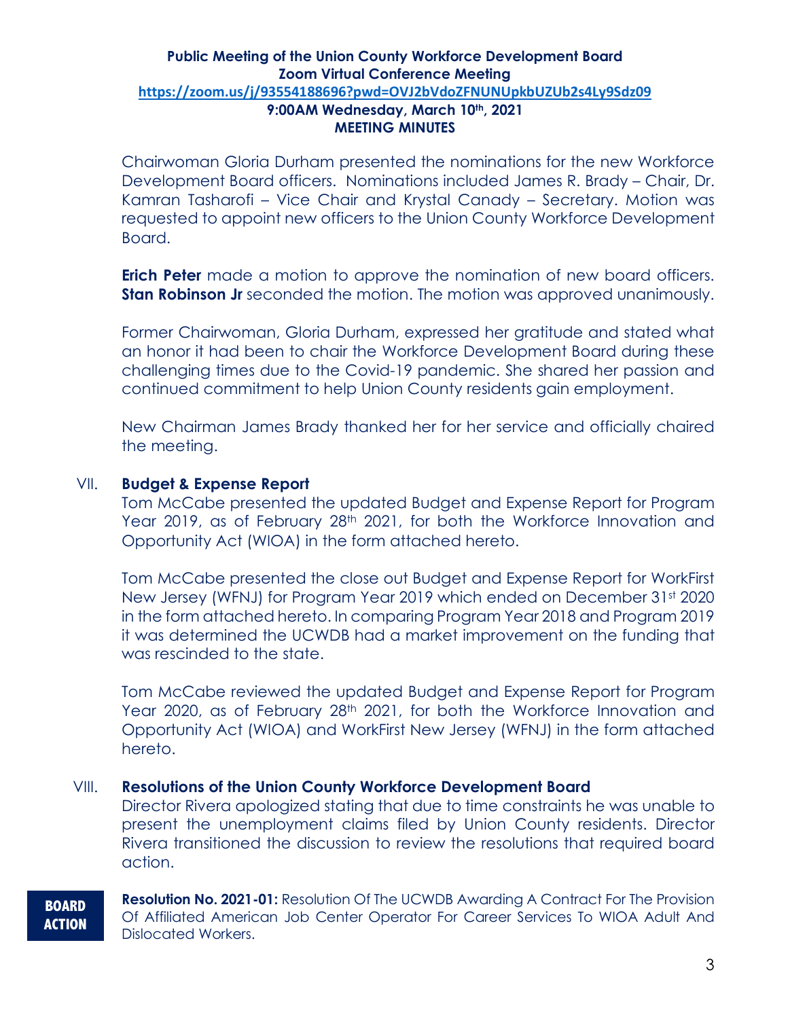Chairwoman Gloria Durham presented the nominations for the new Workforce Development Board officers. Nominations included James R. Brady – Chair, Dr. Kamran Tasharofi – Vice Chair and Krystal Canady – Secretary. Motion was requested to appoint new officers to the Union County Workforce Development Board.

**Erich Peter** made a motion to approve the nomination of new board officers. **Stan Robinson Jr** seconded the motion. The motion was approved unanimously.

Former Chairwoman, Gloria Durham, expressed her gratitude and stated what an honor it had been to chair the Workforce Development Board during these challenging times due to the Covid-19 pandemic. She shared her passion and continued commitment to help Union County residents gain employment.

New Chairman James Brady thanked her for her service and officially chaired the meeting.

## VII. **Budget & Expense Report**

Tom McCabe presented the updated Budget and Expense Report for Program Year 2019, as of February 28<sup>th</sup> 2021, for both the Workforce Innovation and Opportunity Act (WIOA) in the form attached hereto.

Tom McCabe presented the close out Budget and Expense Report for WorkFirst New Jersey (WFNJ) for Program Year 2019 which ended on December 31st 2020 in the form attached hereto. In comparing Program Year 2018 and Program 2019 it was determined the UCWDB had a market improvement on the funding that was rescinded to the state.

Tom McCabe reviewed the updated Budget and Expense Report for Program Year 2020, as of February 28<sup>th</sup> 2021, for both the Workforce Innovation and Opportunity Act (WIOA) and WorkFirst New Jersey (WFNJ) in the form attached hereto.

#### VIII. **Resolutions of the Union County Workforce Development Board**

Director Rivera apologized stating that due to time constraints he was unable to present the unemployment claims filed by Union County residents. Director Rivera transitioned the discussion to review the resolutions that required board action.

#### **BOARD ACTION**

**Resolution No. 2021-01:** Resolution Of The UCWDB Awarding A Contract For The Provision Of Affiliated American Job Center Operator For Career Services To WIOA Adult And Dislocated Workers.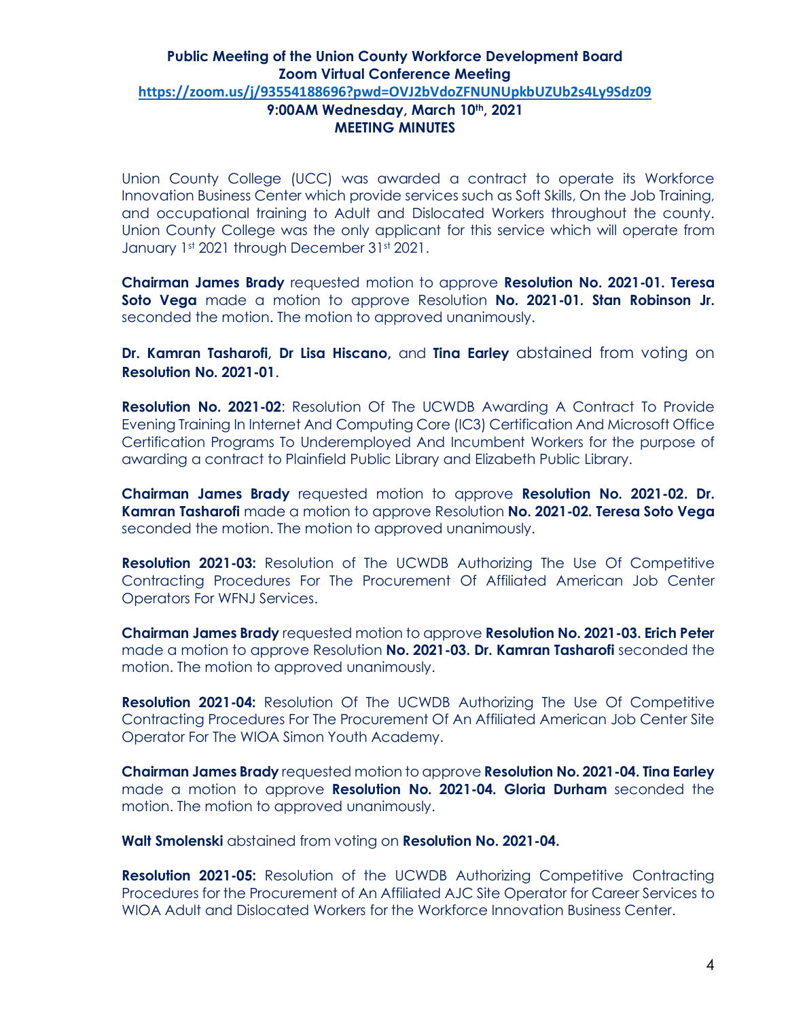Union County College (UCC) was awarded a contract to operate its Workforce Innovation Business Center which provide services such as Soft Skills, On the Job Training, and occupational training to Adult and Dislocated Workers throughout the county. Union County College was the only applicant for this service which will operate from January 1st 2021 through December 31st 2021.

**Chairman James Brady** requested motion to approve **Resolution No. 2021-01. Teresa Soto Vega** made a motion to approve Resolution **No. 2021-01. Stan Robinson Jr.**  seconded the motion. The motion to approved unanimously.

**Dr. Kamran Tasharofi, Dr Lisa Hiscano,** and **Tina Earley** abstained from voting on **Resolution No. 2021-01**.

**Resolution No. 2021-02**: Resolution Of The UCWDB Awarding A Contract To Provide Evening Training In Internet And Computing Core (IC3) Certification And Microsoft Office Certification Programs To Underemployed And Incumbent Workers for the purpose of awarding a contract to Plainfield Public Library and Elizabeth Public Library.

**Chairman James Brady** requested motion to approve **Resolution No. 2021-02. Dr. Kamran Tasharofi** made a motion to approve Resolution **No. 2021-02. Teresa Soto Vega**  seconded the motion. The motion to approved unanimously.

**Resolution 2021-03:** Resolution of The UCWDB Authorizing The Use Of Competitive Contracting Procedures For The Procurement Of Affiliated American Job Center Operators For WFNJ Services.

**Chairman James Brady** requested motion to approve **Resolution No. 2021-03. Erich Peter**  made a motion to approve Resolution **No. 2021-03. Dr. Kamran Tasharofi** seconded the motion. The motion to approved unanimously.

**Resolution 2021-04:** Resolution Of The UCWDB Authorizing The Use Of Competitive Contracting Procedures For The Procurement Of An Affiliated American Job Center Site Operator For The WIOA Simon Youth Academy.

**Chairman James Brady** requested motion to approve **Resolution No. 2021-04. Tina Earley**  made a motion to approve **Resolution No. 2021-04. Gloria Durham** seconded the motion. The motion to approved unanimously.

**Walt Smolenski** abstained from voting on **Resolution No. 2021-04.**

**Resolution 2021-05:** Resolution of the UCWDB Authorizing Competitive Contracting Procedures for the Procurement of An Affiliated AJC Site Operator for Career Services to WIOA Adult and Dislocated Workers for the Workforce Innovation Business Center.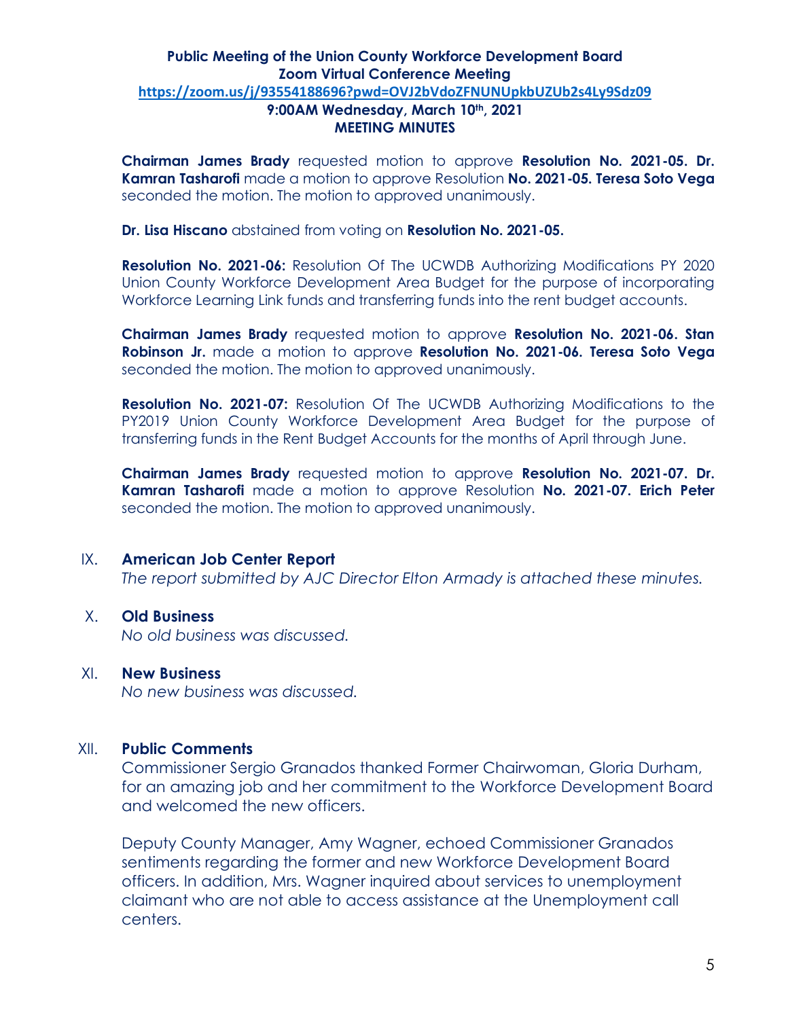**Chairman James Brady** requested motion to approve **Resolution No. 2021-05. Dr. Kamran Tasharofi** made a motion to approve Resolution **No. 2021-05. Teresa Soto Vega**  seconded the motion. The motion to approved unanimously.

**Dr. Lisa Hiscano** abstained from voting on **Resolution No. 2021-05.**

**Resolution No. 2021-06:** Resolution Of The UCWDB Authorizing Modifications PY 2020 Union County Workforce Development Area Budget for the purpose of incorporating Workforce Learning Link funds and transferring funds into the rent budget accounts.

**Chairman James Brady** requested motion to approve **Resolution No. 2021-06. Stan Robinson Jr.** made a motion to approve **Resolution No. 2021-06. Teresa Soto Vega** seconded the motion. The motion to approved unanimously.

**Resolution No. 2021-07:** Resolution Of The UCWDB Authorizing Modifications to the PY2019 Union County Workforce Development Area Budget for the purpose of transferring funds in the Rent Budget Accounts for the months of April through June.

**Chairman James Brady** requested motion to approve **Resolution No. 2021-07. Dr. Kamran Tasharofi** made a motion to approve Resolution **No. 2021-07. Erich Peter**  seconded the motion. The motion to approved unanimously.

#### IX. **American Job Center Report**

*The report submitted by AJC Director Elton Armady is attached these minutes.*

## X. **Old Business**

*No old business was discussed.*

## XI. **New Business**

*No new business was discussed.*

#### XII. **Public Comments**

Commissioner Sergio Granados thanked Former Chairwoman, Gloria Durham, for an amazing job and her commitment to the Workforce Development Board and welcomed the new officers.

Deputy County Manager, Amy Wagner, echoed Commissioner Granados sentiments regarding the former and new Workforce Development Board officers. In addition, Mrs. Wagner inquired about services to unemployment claimant who are not able to access assistance at the Unemployment call centers.